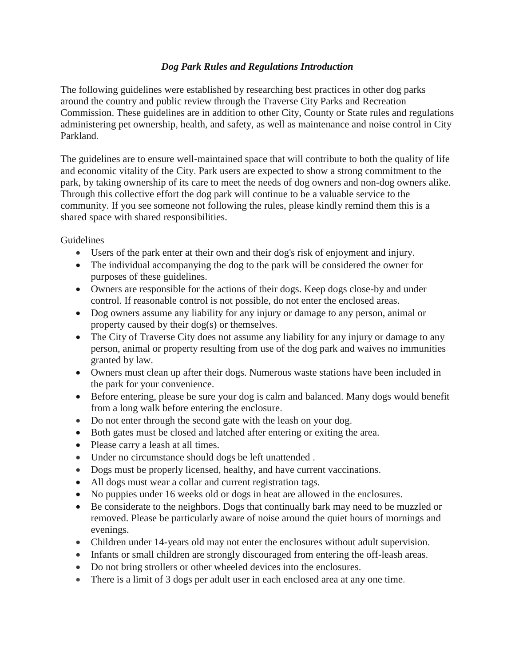## *Dog Park Rules and Regulations Introduction*

The following guidelines were established by researching best practices in other dog parks around the country and public review through the Traverse City Parks and Recreation Commission. These guidelines are in addition to other City, County or State rules and regulations administering pet ownership, health, and safety, as well as maintenance and noise control in City Parkland.

The guidelines are to ensure well-maintained space that will contribute to both the quality of life and economic vitality of the City. Park users are expected to show a strong commitment to the park, by taking ownership of its care to meet the needs of dog owners and non-dog owners alike. Through this collective effort the dog park will continue to be a valuable service to the community. If you see someone not following the rules, please kindly remind them this is a shared space with shared responsibilities.

**Guidelines** 

- Users of the park enter at their own and their dog's risk of enjoyment and injury.
- The individual accompanying the dog to the park will be considered the owner for purposes of these guidelines.
- Owners are responsible for the actions of their dogs. Keep dogs close-by and under control. If reasonable control is not possible, do not enter the enclosed areas.
- Dog owners assume any liability for any injury or damage to any person, animal or property caused by their dog(s) or themselves.
- The City of Traverse City does not assume any liability for any injury or damage to any person, animal or property resulting from use of the dog park and waives no immunities granted by law.
- Owners must clean up after their dogs. Numerous waste stations have been included in the park for your convenience.
- Before entering, please be sure your dog is calm and balanced. Many dogs would benefit from a long walk before entering the enclosure.
- Do not enter through the second gate with the leash on your dog.
- Both gates must be closed and latched after entering or exiting the area.
- Please carry a leash at all times.
- Under no circumstance should dogs be left unattended.
- Dogs must be properly licensed, healthy, and have current vaccinations.
- All dogs must wear a collar and current registration tags.
- No puppies under 16 weeks old or dogs in heat are allowed in the enclosures.
- Be considerate to the neighbors. Dogs that continually bark may need to be muzzled or removed. Please be particularly aware of noise around the quiet hours of mornings and evenings.
- Children under 14-years old may not enter the enclosures without adult supervision.
- Infants or small children are strongly discouraged from entering the off-leash areas.
- Do not bring strollers or other wheeled devices into the enclosures.
- There is a limit of 3 dogs per adult user in each enclosed area at any one time.